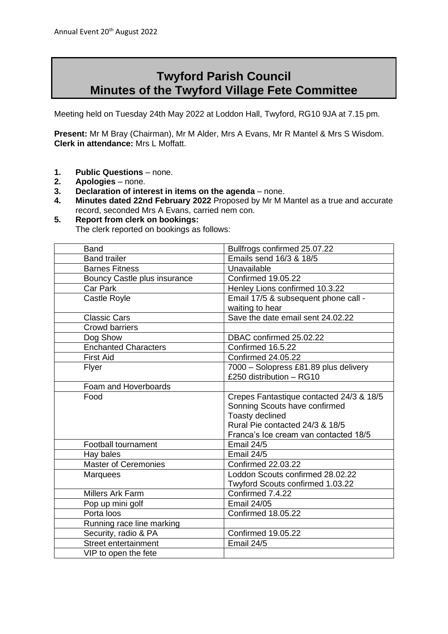## **Twyford Parish Council Minutes of the Twyford Village Fete Committee**

Meeting held on Tuesday 24th May 2022 at Loddon Hall, Twyford, RG10 9JA at 7.15 pm.

**Present:** Mr M Bray (Chairman), Mr M Alder, Mrs A Evans, Mr R Mantel & Mrs S Wisdom. **Clerk in attendance:** Mrs L Moffatt.

- 1. **Public Questions** none.
- **2. Apologies** none.
- **3. Declaration of interest in items on the agenda** none.
- **4. Minutes dated 22nd February 2022** Proposed by Mr M Mantel as a true and accurate record, seconded Mrs A Evans, carried nem con.
- **5. Report from clerk on bookings:**

The clerk reported on bookings as follows:

| <b>Band</b>                  | Bullfrogs confirmed 25.07.22             |
|------------------------------|------------------------------------------|
| <b>Band trailer</b>          | Emails send 16/3 & 18/5                  |
| <b>Barnes Fitness</b>        | Unavailable                              |
| Bouncy Castle plus insurance | <b>Confirmed 19.05.22</b>                |
| <b>Car Park</b>              | Henley Lions confirmed 10.3.22           |
| <b>Castle Royle</b>          | Email 17/5 & subsequent phone call -     |
|                              | waiting to hear                          |
| <b>Classic Cars</b>          | Save the date email sent 24.02.22        |
| <b>Crowd barriers</b>        |                                          |
| Dog Show                     | DBAC confirmed 25.02.22                  |
| <b>Enchanted Characters</b>  | Confirmed 16.5.22                        |
| <b>First Aid</b>             | <b>Confirmed 24.05.22</b>                |
| Flyer                        | 7000 - Solopress £81.89 plus delivery    |
|                              | £250 distribution - RG10                 |
| Foam and Hoverboards         |                                          |
| Food                         | Crepes Fantastique contacted 24/3 & 18/5 |
|                              | Sonning Scouts have confirmed            |
|                              | Toasty declined                          |
|                              | Rural Pie contacted 24/3 & 18/5          |
|                              | Franca's Ice cream van contacted 18/5    |
| Football tournament          | Email 24/5                               |
| Hay bales                    | Email 24/5                               |
| <b>Master of Ceremonies</b>  | <b>Confirmed 22.03.22</b>                |
| <b>Marquees</b>              | Loddon Scouts confirmed 28.02.22         |
|                              | Twyford Scouts confirmed 1.03.22         |
| <b>Millers Ark Farm</b>      | Confirmed 7.4.22                         |
| Pop up mini golf             | <b>Email 24/05</b>                       |
| Porta loos                   | <b>Confirmed 18.05.22</b>                |
| Running race line marking    |                                          |
| Security, radio & PA         | <b>Confirmed 19.05.22</b>                |
| Street entertainment         | Email 24/5                               |
| VIP to open the fete         |                                          |